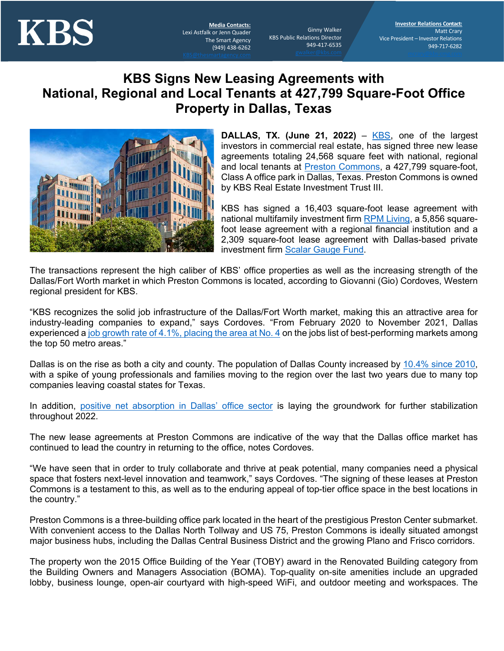

Lexi Astfalk or Jenn Quader The Smart Agency (949) 438-6262

Ginny Walker KBS Public Relations Director 949-417-6535

## **KBS Signs New Leasing Agreements with National, Regional and Local Tenants at 427,799 Square-Foot Office Property in Dallas, Texas**



**DALLAS, TX. (June 21, 2022)** – KBS, one of the largest investors in commercial real estate, has signed three new lease agreements totaling 24,568 square feet with national, regional and local tenants at Preston Commons, a 427,799 square-foot, Class A office park in Dallas, Texas. Preston Commons is owned by KBS Real Estate Investment Trust III.

KBS has signed a 16,403 square-foot lease agreement with national multifamily investment firm RPM Living, a 5,856 squarefoot lease agreement with a regional financial institution and a 2,309 square-foot lease agreement with Dallas-based private investment firm Scalar Gauge Fund.

The transactions represent the high caliber of KBS' office properties as well as the increasing strength of the Dallas/Fort Worth market in which Preston Commons is located, according to Giovanni (Gio) Cordoves, Western regional president for KBS.

"KBS recognizes the solid job infrastructure of the Dallas/Fort Worth market, making this an attractive area for industry-leading companies to expand," says Cordoves. "From February 2020 to November 2021, Dallas experienced a job growth rate of 4.1%, placing the area at No. 4 on the jobs list of best-performing markets among the top 50 metro areas."

Dallas is on the rise as both a city and county. The population of Dallas County increased by 10.4% since 2010, with a spike of young professionals and families moving to the region over the last two years due to many top companies leaving coastal states for Texas.

In addition, positive net absorption in Dallas' office sector is laying the groundwork for further stabilization throughout 2022.

The new lease agreements at Preston Commons are indicative of the way that the Dallas office market has continued to lead the country in returning to the office, notes Cordoves.

"We have seen that in order to truly collaborate and thrive at peak potential, many companies need a physical space that fosters next-level innovation and teamwork," says Cordoves. "The signing of these leases at Preston Commons is a testament to this, as well as to the enduring appeal of top-tier office space in the best locations in the country."

Preston Commons is a three-building office park located in the heart of the prestigious Preston Center submarket. With convenient access to the Dallas North Tollway and US 75, Preston Commons is ideally situated amongst major business hubs, including the Dallas Central Business District and the growing Plano and Frisco corridors.

The property won the 2015 Office Building of the Year (TOBY) award in the Renovated Building category from the Building Owners and Managers Association (BOMA). Top-quality on-site amenities include an upgraded lobby, business lounge, open-air courtyard with high-speed WiFi, and outdoor meeting and workspaces. The